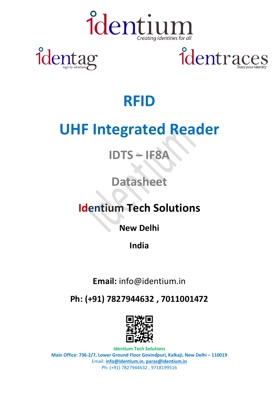

ider



### **RFID**

### **UHF Integrated Reader**

### **IDTS – IF8A**

#### **Datasheet**

#### **Identium Tech Solutions**

**New Delhi**

**India** 

**Email:** info@identium.in

**Ph: (+91) 7827944632 , 7011001472**



**Identium Tech Solutions Main Office: 736-2/7, Lower Ground Floor Govindpuri, Kalkaji, New Delhi – 110019** Email: **info@identium.in, paras@identium.in** Ph: (+91) 7827944632 , 9718199516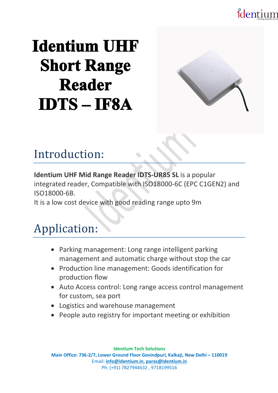### identium

## **Identium UHF Short Range Reader IDTS-IF8A**



### Introduction:

**Identium UHF Mid Range Reader IDTS-UR85 SL** is a popular integrated reader, Compatible with ISO18000-6C (EPC C1GEN2) and ISO18000-6B.

It is a low cost device with good reading range upto 9m

### Application:

- Parking management: Long range intelligent parking management and automatic charge without stop the car
- Production line management: Goods identification for production flow
- Auto Access control: Long range access control management for custom, sea port
- Logistics and warehouse management
- People auto registry for important meeting or exhibition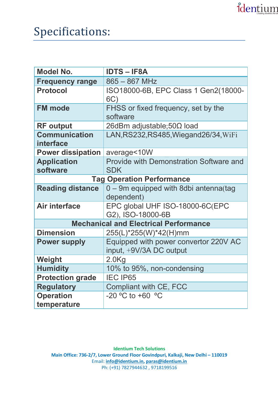### identium

| <b>Model No.</b>                             | <b>IDTS-IF8A</b>                                     |
|----------------------------------------------|------------------------------------------------------|
| <b>Frequency range</b>                       | $865 - 867$ MHz                                      |
| <b>Protocol</b>                              | ISO18000-6B, EPC Class 1 Gen2(18000-<br>6C)          |
| <b>FM</b> mode                               | FHSS or fixed frequency, set by the<br>software      |
| <b>RF</b> output                             | 26dBm adjustable;50Ω load                            |
| <b>Communication</b><br>interface            | LAN, RS232, RS485, Wiegand 26/34, WiFi               |
| <b>Power dissipation</b>                     | average<10W                                          |
| <b>Application</b>                           | <b>Provide with Demonstration Software and</b>       |
| software                                     | <b>SDK</b>                                           |
| <b>Tag Operation Performance</b>             |                                                      |
| <b>Reading distance</b>                      | 0 - 9m equipped with 8dbi antenna(tag                |
|                                              | dependent)                                           |
| <b>Air interface</b>                         | EPC global UHF ISO-18000-6C(EPC<br>G2), ISO-18000-6B |
| <b>Mechanical and Electrical Performance</b> |                                                      |
| <b>Dimension</b>                             | 255(L)*255(W)*42(H)mm                                |
| <b>Power supply</b>                          | Equipped with power convertor 220V AC                |
|                                              | input, +9V/3A DC output                              |
| Weight                                       | 2.0 <sub>Kg</sub>                                    |
| <b>Humidity</b>                              | 10% to 95%, non-condensing                           |
| <b>Protection grade</b>                      | <b>IEC IP65</b>                                      |
| <b>Regulatory</b>                            | Compliant with CE, FCC                               |
| <b>Operation</b>                             | $-20$ °C to +60 °C                                   |
| temperature                                  |                                                      |